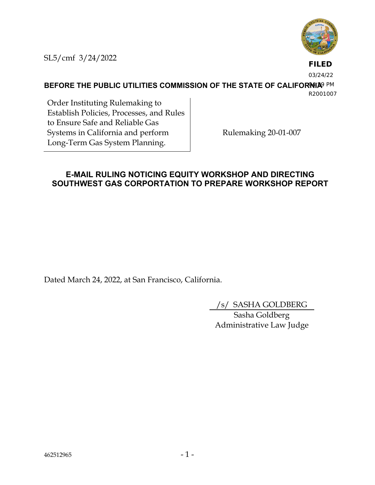

SL5/cmf 3/24/2022

# **FILED**

03/24/22

**BEFORE THE PUBLIC UTILITIES COMMISSION OF THE STATE OF CALIFORNIA**9 PM R2001007

Order Instituting Rulemaking to Establish Policies, Processes, and Rules to Ensure Safe and Reliable Gas Systems in California and perform Long-Term Gas System Planning.

Rulemaking 20-01-007

## **E-MAIL RULING NOTICING EQUITY WORKSHOP AND DIRECTING SOUTHWEST GAS CORPORTATION TO PREPARE WORKSHOP REPORT**

Dated March 24, 2022, at San Francisco, California.

/s/ SASHA GOLDBERG

Sasha Goldberg Administrative Law Judge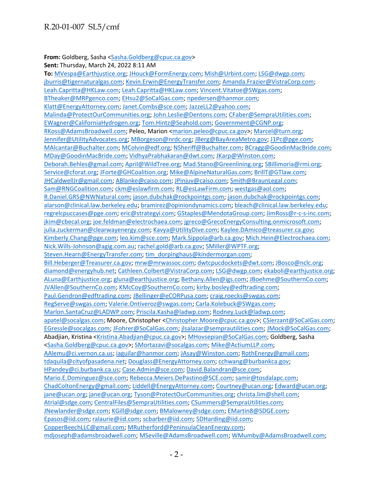#### **From:** Goldberg, Sasha [<Sasha.Goldberg@cpuc.ca.gov>](mailto:Sasha.Goldberg@cpuc.ca.gov)

**Sent:** Thursday, March 24, 2022 8:11 AM

**To:** [MVespa@Earthjustice.org;](mailto:MVespa@Earthjustice.org) [JHouck@FormEnergy.com;](mailto:JHouck@FormEnergy.com) [Mish@Urbint.com;](mailto:Mish@Urbint.com) [LSG@dwgp.com;](mailto:LSG@dwgp.com) [jburris@tigernaturalgas.com;](mailto:jburris@tigernaturalgas.com) [Kevin.Erwin@EnergyTransfer.com;](mailto:Kevin.Erwin@EnergyTransfer.com) [Amanda.Frazier@VistraCorp.com;](mailto:Amanda.Frazier@VistraCorp.com) [Leah.Capritta@HKLaw.com; Leah.Capritta@HKLaw.com;](mailto:Leah.Capritta@HKLaw.com) [Vincent.Vitatoe@SWgas.com;](mailto:Vincent.Vitatoe@SWgas.com) [BTheaker@MRPgenco.com;](mailto:BTheaker@MRPgenco.com) [EHsu2@SoCalGas.com;](mailto:EHsu2@SoCalGas.com) [npedersen@hanmor.com;](mailto:npedersen@hanmor.com) [Klatt@EnergyAttorney.com;](mailto:Klatt@EnergyAttorney.com) [Janet.Combs@sce.com;](mailto:Janet.Combs@sce.com) [JazzeLL2@yahoo.com;](mailto:JazzeLL2@yahoo.com) [Malinda@ProtectOurCommunities.org;](mailto:Malinda@ProtectOurCommunities.org) [John.Leslie@Dentons.com;](mailto:John.Leslie@Dentons.com) [CFaber@SempraUtilities.com;](mailto:CFaber@SempraUtilities.com) [EWagner@CaliforniaHydrogen.org;](mailto:EWagner@CaliforniaHydrogen.org) [Tom.Hintz@Seahold.com;](mailto:Tom.Hintz@Seahold.com) [Government@CGNP.org;](mailto:Government@CGNP.org) [RKoss@AdamsBroadwell.com;](mailto:RKoss@AdamsBroadwell.com) Peleo, Marion [<marion.peleo@cpuc.ca.gov>](mailto:marion.peleo@cpuc.ca.gov)[; Marcel@turn.org;](mailto:Marcel@turn.org) [Jennifer@UtilityAdvocates.org;](mailto:Jennifer@UtilityAdvocates.org) [MBorgeson@nrdc.org;](mailto:MBorgeson@nrdc.org) [JBerg@BayAreaMetro.gov;](mailto:JBerg@BayAreaMetro.gov) [J1Pc@pge.com;](mailto:J1Pc@pge.com) [MAlcantar@Buchalter.com;](mailto:MAlcantar@Buchalter.com) [MColvin@edf.org;](mailto:MColvin@edf.org) [NSheriff@Buchalter.com;](mailto:NSheriff@Buchalter.com) [BCragg@GoodinMacBride.com;](mailto:BCragg@GoodinMacBride.com) [MDay@GoodinMacBride.com;](mailto:MDay@GoodinMacBride.com) [VidhyaPrabhakaran@dwt.com;](mailto:VidhyaPrabhakaran@dwt.com) [JKarp@Winston.com;](mailto:JKarp@Winston.com) [Deborah.Behles@gmail.com;](mailto:Deborah.Behles@gmail.com) [April@WildTree.org;](mailto:April@WildTree.org) [Mad.Stano@Greenlining.org;](mailto:Mad.Stano@Greenlining.org) [SBillimoria@rmi.org;](mailto:SBillimoria@rmi.org) [Service@cforat.org;](mailto:Service@cforat.org) [JForte@GHCoalition.org;](mailto:JForte@GHCoalition.org) [Mike@AlpineNaturalGas.com;](mailto:Mike@AlpineNaturalGas.com) [BrillT@GTlaw.com;](mailto:BrillT@GTlaw.com) [JHCaldwellJr@gmail.com;](mailto:JHCaldwellJr@gmail.com) [ABlanke@caiso.com;](mailto:ABlanke@caiso.com) [JPinjuv@caiso.com;](mailto:JPinjuv@caiso.com) [Smith@BraunLegal.com;](mailto:Smith@BraunLegal.com) [Sam@RNGCoalition.com;](mailto:Sam@RNGCoalition.com) [ckm@eslawfirm.com;](mailto:ckm@eslawfirm.com) [RL@esLawFirm.com;](mailto:RL@esLawFirm.com) [westgas@aol.com;](mailto:westgas@aol.com) [R.Daniel.GRS@NWNatural.com;](mailto:R.Daniel.GRS@NWNatural.com) [jason.dubchak@rockpointgs.com; jason.dubchak@rockpointgs.com;](mailto:jason.dubchak@rockpointgs.com) [alarson@clinical.law.berkeley.edu;](mailto:alarson@clinical.law.berkeley.edu) [bramirez@opiniondynamics.com;](mailto:bramirez@opiniondynamics.com) [bleach@clinical.law.berkeley.edu;](mailto:bleach@clinical.law.berkeley.edu) [regrelcpuccases@pge.com;](mailto:regrelcpuccases@pge.com) [eric@strategyi.com;](mailto:eric@strategyi.com) [GStaples@MendotaGroup.com;](mailto:GStaples@MendotaGroup.com) [JimRoss@r-c-s-inc.com;](mailto:JimRoss@r-c-s-inc.com) [jkim@cbecal.org;](mailto:jkim@cbecal.org) [joe.feldman@electrochaea.com;](mailto:joe.feldman@electrochaea.com) [jgreco@GrecoEnergyConsulting.onmicrosoft.com;](mailto:jgreco@GrecoEnergyConsulting.onmicrosoft.com) [julia.zuckerman@clearwayenergy.com;](mailto:julia.zuckerman@clearwayenergy.com) [Kavya@UtilityDive.com;](mailto:Kavya@UtilityDive.com) [Kaylee.DAmico@treasurer.ca.gov;](mailto:Kaylee.DAmico@treasurer.ca.gov) [Kimberly.Chang@pge.com;](mailto:Kimberly.Chang@pge.com) [leo.kim@sce.com;](mailto:leo.kim@sce.com) [Mark.Sippola@arb.ca.gov;](mailto:Mark.Sippola@arb.ca.gov) [Mich.Hein@Electrochaea.com;](mailto:Mich.Hein@Electrochaea.com) [Nick.Wills-Johnson@agig.com.au;](mailto:Nick.Wills-Johnson@agig.com.au) [rachel.gold@arb.ca.gov;](mailto:rachel.gold@arb.ca.gov) [SMiller@WPTF.org;](mailto:SMiller@WPTF.org) [Steven.Hearn@EnergyTransfer.com;](mailto:Steven.Hearn@EnergyTransfer.com) [tim\\_dorpinghaus@kindermorgan.com;](mailto:tim_dorpinghaus@kindermorgan.com) [Bill.Heberger@Treasurer.ca.gov;](mailto:Bill.Heberger@Treasurer.ca.gov) [mrw@mrwassoc.com;](mailto:mrw@mrwassoc.com) [dwtcpucdockets@dwt.com;](mailto:dwtcpucdockets@dwt.com) [JBosco@nclc.org;](mailto:JBosco@nclc.org) [diamond@energyhub.net;](mailto:diamond@energyhub.net) [Cathleen.Colbert@VistraCorp.com;](mailto:Cathleen.Colbert@VistraCorp.com) [LSG@dwgp.com;](mailto:LSG@dwgp.com) [ekaboli@earthjustice.org;](mailto:ekaboli@earthjustice.org) [ALuna@Earthjustice.org;](mailto:ALuna@Earthjustice.org) [gluna@earthjustice.org;](mailto:gluna@earthjustice.org) [Bethany.Allen@igs.com;](mailto:Bethany.Allen@igs.com) [JBoehme@SouthernCo.com;](mailto:JBoehme@SouthernCo.com) [JVAllen@SouthernCo.com;](mailto:JVAllen@SouthernCo.com) [KMcCoy@SouthernCo.com;](mailto:KMcCoy@SouthernCo.com) [kirby.bosley@edftrading.com;](mailto:kirby.bosley@edftrading.com) [Paul.Gendron@edftrading.com;](mailto:Paul.Gendron@edftrading.com) [JBellinger@eCORPusa.com;](mailto:JBellinger@eCORPusa.com) [craig.roecks@swgas.com;](mailto:craig.roecks@swgas.com) [RegServe@swgas.com;](mailto:RegServe@swgas.com) [Valerie.Ontiveroz@swgas.com;](mailto:Valerie.Ontiveroz@swgas.com) [Carla.Kolebuck@SWgas.com;](mailto:Carla.Kolebuck@SWgas.com) [Marlon.SantaCruz@LADWP.com;](mailto:Marlon.SantaCruz@LADWP.com) [Priscila.Kasha@ladwp.com;](mailto:Priscila.Kasha@ladwp.com) [Rodney.Luck@ladwp.com;](mailto:Rodney.Luck@ladwp.com) [apatel@socalgas.com;](mailto:apatel@socalgas.com) Moore, Christopher [<Christopher.Moore@cpuc.ca.gov>](mailto:Christopher.Moore@cpuc.ca.gov)[; CSierzant@SoCalGas.com;](mailto:CSierzant@SoCalGas.com) [EGressle@socalgas.com;](mailto:EGressle@socalgas.com) [JFohrer@SoCalGas.com;](mailto:JFohrer@SoCalGas.com) [jlsalazar@semprautilities.com;](mailto:jlsalazar@semprautilities.com) [JMock@SoCalGas.com;](mailto:JMock@SoCalGas.com) Abadjian, Kristina [<Kristina.Abadjian@cpuc.ca.gov>](mailto:Kristina.Abadjian@cpuc.ca.gov); [MHovsepian@SoCalGas.com;](mailto:MHovsepian@SoCalGas.com) Goldberg, Sasha [<Sasha.Goldberg@cpuc.ca.gov>](mailto:Sasha.Goldberg@cpuc.ca.gov); [SMortazavi@socalgas.com;](mailto:SMortazavi@socalgas.com) [Mike@ActiumLLP.com;](mailto:Mike@ActiumLLP.com) [AAlemu@ci.vernon.ca.us;](mailto:AAlemu@ci.vernon.ca.us) [iaguilar@hanmor.com;](mailto:iaguilar@hanmor.com) [JAsay@Winston.com;](mailto:JAsay@Winston.com) [RothEnergy@gmail.com;](mailto:RothEnergy@gmail.com) [tdaquila@cityofpasadena.net;](mailto:tdaquila@cityofpasadena.net) [Douglass@EnergyAttorney.com;](mailto:Douglass@EnergyAttorney.com) [cchwang@burbankca.gov;](mailto:cchwang@burbankca.gov) [HPandey@ci.burbank.ca.us;](mailto:HPandey@ci.burbank.ca.us) [Case.Admin@sce.com;](mailto:Case.Admin@sce.com) [David.Balandran@sce.com;](mailto:David.Balandran@sce.com) [Mario.E.Dominguez@sce.com;](mailto:Mario.E.Dominguez@sce.com) [Rebecca.Meiers.DePastino@SCE.com;](mailto:Rebecca.Meiers.DePastino@SCE.com) [samir@tosdalapc.com;](mailto:samir@tosdalapc.com) [ChadColtonEnergy@gmail.com;](mailto:ChadColtonEnergy@gmail.com) [Liddell@EnergyAttorney.com;](mailto:Liddell@EnergyAttorney.com) [Courtney@ucan.org;](mailto:Courtney@ucan.org) [Edward@ucan.org;](mailto:Edward@ucan.org) [jane@ucan.org; jane@ucan.org;](mailto:jane@ucan.org) [Tyson@ProtectOurCommunities.org;](mailto:Tyson@ProtectOurCommunities.org) [christa.lim@shell.com;](mailto:christa.lim@shell.com) [Atrial@sdge.com;](mailto:Atrial@sdge.com) [CentralFiles@SempraUtilities.com;](mailto:CentralFiles@SempraUtilities.com) [CSummers@SempraUtilities.com;](mailto:CSummers@SempraUtilities.com) [JNewlander@sdge.com;](mailto:JNewlander@sdge.com) [KGill@sdge.com;](mailto:KGill@sdge.com) [BMalowney@sdge.com;](mailto:BMalowney@sdge.com) [EMartin8@SDGE.com;](mailto:EMartin8@SDGE.com) [Epasos@iid.com;](mailto:Epasos@iid.com) [ralaurie@iid.com;](mailto:ralaurie@iid.com) [scbarber@iid.com;](mailto:scbarber@iid.com) [SDHarding@iid.com;](mailto:SDHarding@iid.com) [CopperBeechLLC@gmail.com;](mailto:CopperBeechLLC@gmail.com) [MRutherford@PeninsulaCleanEnergy.com;](mailto:MRutherford@PeninsulaCleanEnergy.com) [mdjoseph@adamsbroadwell.com;](mailto:mdjoseph@adamsbroadwell.com) [MSeville@AdamsBroadwell.com;](mailto:MSeville@AdamsBroadwell.com) [WMumby@AdamsBroadwell.com;](mailto:WMumby@AdamsBroadwell.com)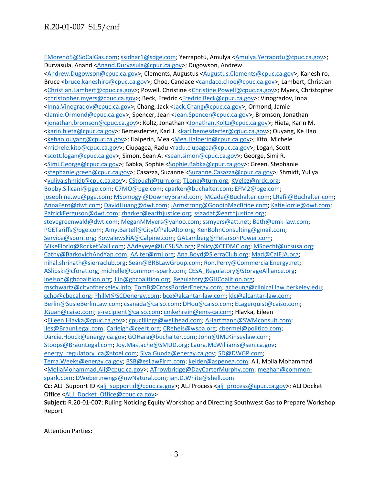## R.20-01-007 SL5/cmf

[EMoreno5@SoCalGas.com;](mailto:EMoreno5@SoCalGas.com) [ssidhar1@sdge.com;](mailto:ssidhar1@sdge.com) Yerrapotu, Amulya [<Amulya.Yerrapotu@cpuc.ca.gov>](mailto:Amulya.Yerrapotu@cpuc.ca.gov); Durvasula, Anand [<Anand.Durvasula@cpuc.ca.gov>](mailto:Anand.Durvasula@cpuc.ca.gov); Dugowson, Andrew

[<Andrew.Dugowson@cpuc.ca.gov>](mailto:Andrew.Dugowson@cpuc.ca.gov); Clements, Augustus [<Augustus.Clements@cpuc.ca.gov>](mailto:Augustus.Clements@cpuc.ca.gov); Kaneshiro, Bruce [<bruce.kaneshiro@cpuc.ca.gov>](mailto:bruce.kaneshiro@cpuc.ca.gov); Choe, Candace [<candace.choe@cpuc.ca.gov>](mailto:candace.choe@cpuc.ca.gov); Lambert, Christian [<Christian.Lambert@cpuc.ca.gov>](mailto:Christian.Lambert@cpuc.ca.gov); Powell, Christine [<Christine.Powell@cpuc.ca.gov>](mailto:Christine.Powell@cpuc.ca.gov); Myers, Christopher [<christopher.myers@cpuc.ca.gov>](mailto:christopher.myers@cpuc.ca.gov); Beck, Fredric [<Fredric.Beck@cpuc.ca.gov>](mailto:Fredric.Beck@cpuc.ca.gov); Vinogradov, Inna [<Inna.Vinogradov@cpuc.ca.gov>](mailto:Inna.Vinogradov@cpuc.ca.gov); Chang, Jack [<Jack.Chang@cpuc.ca.gov>](mailto:Jack.Chang@cpuc.ca.gov); Ormond, Jamie [<Jamie.Ormond@cpuc.ca.gov>](mailto:Jamie.Ormond@cpuc.ca.gov); Spencer, Jean [<Jean.Spencer@cpuc.ca.gov>](mailto:Jean.Spencer@cpuc.ca.gov); Bromson, Jonathan [<jonathan.bromson@cpuc.ca.gov>](mailto:jonathan.bromson@cpuc.ca.gov); Koltz, Jonathan [<Jonathan.Koltz@cpuc.ca.gov>](mailto:Jonathan.Koltz@cpuc.ca.gov); Hieta, Karin M. [<karin.hieta@cpuc.ca.gov>](mailto:karin.hieta@cpuc.ca.gov); Bemesderfer, Karl J. [<karl.bemesderfer@cpuc.ca.gov>](mailto:karl.bemesderfer@cpuc.ca.gov); Ouyang, Ke Hao [<kehao.ouyang@cpuc.ca.gov>](mailto:kehao.ouyang@cpuc.ca.gov); Halperin, Mea [<Mea.Halperin@cpuc.ca.gov>](mailto:Mea.Halperin@cpuc.ca.gov); Kito, Michele [<michele.kito@cpuc.ca.gov>](mailto:michele.kito@cpuc.ca.gov); Ciupagea, Radu [<radu.ciupagea@cpuc.ca.gov>](mailto:radu.ciupagea@cpuc.ca.gov); Logan, Scott [<scott.logan@cpuc.ca.gov>](mailto:scott.logan@cpuc.ca.gov); Simon, Sean A. [<sean.simon@cpuc.ca.gov>](mailto:sean.simon@cpuc.ca.gov); George, Simi R. [<Simi.George@cpuc.ca.gov>](mailto:Simi.George@cpuc.ca.gov); Babka, Sophie [<Sophie.Babka@cpuc.ca.gov>](mailto:Sophie.Babka@cpuc.ca.gov); Green, Stephanie [<stephanie.green@cpuc.ca.gov>](mailto:stephanie.green@cpuc.ca.gov); Casazza, Suzanne [<Suzanne.Casazza@cpuc.ca.gov>](mailto:Suzanne.Casazza@cpuc.ca.gov); Shmidt, Yuliya [<yuliya.shmidt@cpuc.ca.gov>](mailto:yuliya.shmidt@cpuc.ca.gov); [CStough@turn.org;](mailto:CStough@turn.org) [TLong@turn.org;](mailto:TLong@turn.org) [KVelez@nrdc.org;](mailto:KVelez@nrdc.org) [Bobby.Silicani@pge.com;](mailto:Bobby.Silicani@pge.com) [C7MO@pge.com;](mailto:C7MO@pge.com) [cparker@buchalter.com;](mailto:cparker@buchalter.com) [EFM2@pge.com;](mailto:EFM2@pge.com) [josephine.wu@pge.com;](mailto:josephine.wu@pge.com) [MSomogyi@DowneyBrand.com;](mailto:MSomogyi@DowneyBrand.com) [MCade@Buchalter.com;](mailto:MCade@Buchalter.com) [LRafii@Buchalter.com;](mailto:LRafii@Buchalter.com) [AnnaFero@dwt.com;](mailto:AnnaFero@dwt.com) [DavidHuang@dwt.com;](mailto:DavidHuang@dwt.com) [JArmstrong@GoodinMacBride.com;](mailto:JArmstrong@GoodinMacBride.com) [KatieJorrie@dwt.com;](mailto:KatieJorrie@dwt.com) [PatrickFerguson@dwt.com;](mailto:PatrickFerguson@dwt.com) [rbarker@earthjustice.org;](mailto:rbarker@earthjustice.org) [ssaadat@earthjustice.org;](mailto:ssaadat@earthjustice.org) [stevegreenwald@dwt.com;](mailto:stevegreenwald@dwt.com) [MeganMMyers@yahoo.com;](mailto:MeganMMyers@yahoo.com) [ssmyers@att.net;](mailto:ssmyers@att.net) [Beth@emk-law.com;](mailto:Beth@emk-law.com) [PGETariffs@pge.com;](mailto:PGETariffs@pge.com) [Amy.Bartell@CityOfPaloAlto.org;](mailto:Amy.Bartell@CityOfPaloAlto.org) [KenBohnConsulting@gmail.com;](mailto:KenBohnConsulting@gmail.com) [Service@spurr.org;](mailto:Service@spurr.org) [KowalewskiA@Calpine.com;](mailto:KowalewskiA@Calpine.com) [GALamberg@PetersonPower.com;](mailto:GALamberg@PetersonPower.com) [MikeFlorio@RocketMail.com;](mailto:MikeFlorio@RocketMail.com) [AAdeyeye@UCSUSA.org;](mailto:AAdeyeye@UCSUSA.org) [Policy@CEDMC.org;](mailto:Policy@CEDMC.org) [MSpecht@ucsusa.org;](mailto:MSpecht@ucsusa.org) [Cathy@BarkovichAndYap.com;](mailto:Cathy@BarkovichAndYap.com) [AAlter@rmi.org;](mailto:AAlter@rmi.org) [Ana.Boyd@SierraClub.org;](mailto:Ana.Boyd@SierraClub.org) [Mad@CalEJA.org;](mailto:Mad@CalEJA.org) [nihal.shrinath@sierraclub.org;](mailto:nihal.shrinath@sierraclub.org) [Sean@BRBLawGroup.com;](mailto:Sean@BRBLawGroup.com) [Ron.Perry@CommercialEnergy.net;](mailto:Ron.Perry@CommercialEnergy.net) [ASlipski@cforat.org;](mailto:ASlipski@cforat.org) [michelle@common-spark.com;](mailto:michelle@common-spark.com) [CESA\\_Regulatory@StorageAlliance.org;](mailto:CESA_Regulatory@StorageAlliance.org) [lnelson@ghcoalition.org;](mailto:lnelson@ghcoalition.org) [Jlin@ghcoalition.org;](mailto:Jlin@ghcoalition.org) [Regulatory@GHCoalition.org;](mailto:Regulatory@GHCoalition.org) [mschwartz@cityofberkeley.info;](mailto:mschwartz@cityofberkeley.info) [TomB@CrossBorderEnergy.com;](mailto:TomB@CrossBorderEnergy.com) [acheung@clinical.law.berkeley.edu;](mailto:acheung@clinical.law.berkeley.edu) [ccho@cbecal.org;](mailto:ccho@cbecal.org) [PhilM@SCDenergy.com;](mailto:PhilM@SCDenergy.com) [bce@alcantar-law.com;](mailto:bce@alcantar-law.com) [klc@alcantar-law.com;](mailto:klc@alcantar-law.com) [Berlin@SusieBerlinLaw.com;](mailto:Berlin@SusieBerlinLaw.com) [csanada@caiso.com;](mailto:csanada@caiso.com) [DHou@caiso.com;](mailto:DHou@caiso.com) [ELagerquist@caiso.com;](mailto:ELagerquist@caiso.com) [JGuan@caiso.com;](mailto:JGuan@caiso.com) [e-recipient@caiso.com;](mailto:e-recipient@caiso.com) [cmkehrein@ems-ca.com;](mailto:cmkehrein@ems-ca.com) Hlavka, Eileen [<Eileen.Hlavka@cpuc.ca.gov>](mailto:Eileen.Hlavka@cpuc.ca.gov); [cpucfilings@wellhead.com;](mailto:cpucfilings@wellhead.com) [AHartmann@SWMconsult.com;](mailto:AHartmann@SWMconsult.com) [Iles@BraunLegal.com;](mailto:Iles@BraunLegal.com) [Carleigh@ceert.org;](mailto:Carleigh@ceert.org) [CReheis@wspa.org;](mailto:CReheis@wspa.org) [cbermel@politico.com;](mailto:cbermel@politico.com) [Darcie.Houck@energy.ca.gov;](mailto:Darcie.Houck@energy.ca.gov) [GOHara@buchalter.com;](mailto:GOHara@buchalter.com) [John@JMcKinseylaw.com;](mailto:John@JMcKinseylaw.com) [Stoops@BraunLegal.com;](mailto:Stoops@BraunLegal.com) [Joy.Mastache@SMUD.org;](mailto:Joy.Mastache@SMUD.org) [Laura.McWilliams@sen.ca.gov;](mailto:Laura.McWilliams@sen.ca.gov) [energy\\_regulatory\\_ca@stoel.com;](mailto:energy_regulatory_ca@stoel.com) [Siva.Gunda@energy.ca.gov;](mailto:Siva.Gunda@energy.ca.gov) [SD@DWGP.com;](mailto:SD@DWGP.com) [Terra.Weeks@energy.ca.gov;](mailto:Terra.Weeks@energy.ca.gov) [BSB@esLawFirm.com;](mailto:BSB@esLawFirm.com) [kelder@aspeneg.com;](mailto:kelder@aspeneg.com) Ali, Molla Mohammad [<MollaMohammad.Ali@cpuc.ca.gov>](mailto:MollaMohammad.Ali@cpuc.ca.gov); [ATrowbridge@DayCarterMurphy.com;](mailto:ATrowbridge@DayCarterMurphy.com) [meghan@common](mailto:meghan@common-spark.com)[spark.com;](mailto:meghan@common-spark.com) [DWeber.nwngs@nwNatural.com;](mailto:DWeber.nwngs@nwNatural.com) [ian.D.White@shell.com](mailto:ian.D.White@shell.com) **Cc:** ALJ\_Support ID [<alj\\_supportid@cpuc.ca.gov>](mailto:alj_supportid@cpuc.ca.gov); ALJ Process [<alj\\_process@cpuc.ca.gov>](mailto:alj_process@cpuc.ca.gov); ALJ Docket Office [<ALJ\\_Docket\\_Office@cpuc.ca.gov>](mailto:ALJ_Docket_Office@cpuc.ca.gov) **Subject:** R.20-01-007: Ruling Noticing Equity Workshop and Directing Southwest Gas to Prepare Workshop Report

Attention Parties: